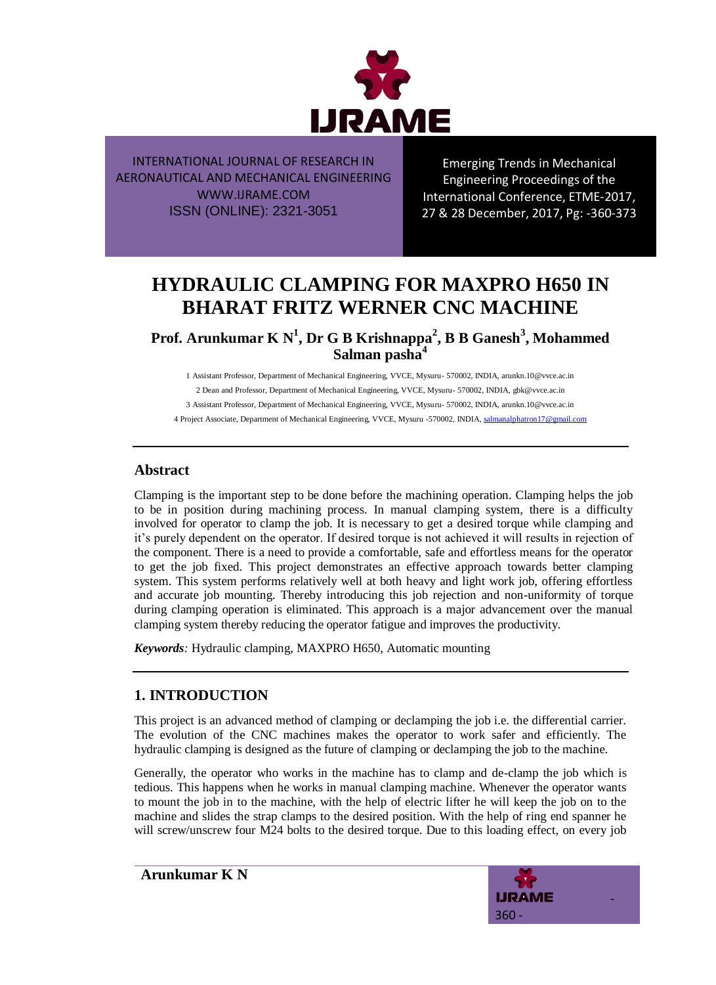

Emerging Trends in Mechanical Engineering Proceedings of the International Conference, ETME-2017, 27 & 28 December, 2017, Pg: -360-373

# **HYDRAULIC CLAMPING FOR MAXPRO H650 IN BHARAT FRITZ WERNER CNC MACHINE**

**Prof. Arunkumar K N<sup>1</sup> , Dr G B Krishnappa<sup>2</sup> , B B Ganesh<sup>3</sup> , Mohammed Salman pasha<sup>4</sup>**

1 Assistant Professor, Department of Mechanical Engineering, VVCE, Mysuru- 570002, INDIA[, arunkn.10@vvce.ac.in](mailto:arunkn.10@vvce.ac.in) 2 Dean and Professor, Department of Mechanical Engineering, VVCE, Mysuru- 570002, INDIA[, gbk@vvce.ac.in](mailto:gbk@vvce.ac.in)

3 Assistant Professor, Department of Mechanical Engineering, VVCE, Mysuru- 570002, INDIA[, arunkn.10@vvce.ac.in](mailto:arunkn.10@vvce.ac.in)

4 Project Associate, Department of Mechanical Engineering, VVCE, Mysuru -570002, INDIA[, salmanalphatron17@gmail.com](mailto:salmanalphatron17@gmail.com)

#### **Abstract**

Clamping is the important step to be done before the machining operation. Clamping helps the job to be in position during machining process. In manual clamping system, there is a difficulty involved for operator to clamp the job. It is necessary to get a desired torque while clamping and it"s purely dependent on the operator. If desired torque is not achieved it will results in rejection of the component. There is a need to provide a comfortable, safe and effortless means for the operator to get the job fixed. This project demonstrates an effective approach towards better clamping system. This system performs relatively well at both heavy and light work job, offering effortless and accurate job mounting. Thereby introducing this job rejection and non-uniformity of torque during clamping operation is eliminated. This approach is a major advancement over the manual clamping system thereby reducing the operator fatigue and improves the productivity.

*Keywords:* Hydraulic clamping, MAXPRO H650, Automatic mounting

### **1. INTRODUCTION**

This project is an advanced method of clamping or declamping the job i.e. the differential carrier. The evolution of the CNC machines makes the operator to work safer and efficiently. The hydraulic clamping is designed as the future of clamping or declamping the job to the machine.

Generally, the operator who works in the machine has to clamp and de-clamp the job which is tedious. This happens when he works in manual clamping machine. Whenever the operator wants to mount the job in to the machine, with the help of electric lifter he will keep the job on to the machine and slides the strap clamps to the desired position. With the help of ring end spanner he will screw/unscrew four M24 bolts to the desired torque. Due to this loading effect, on every job

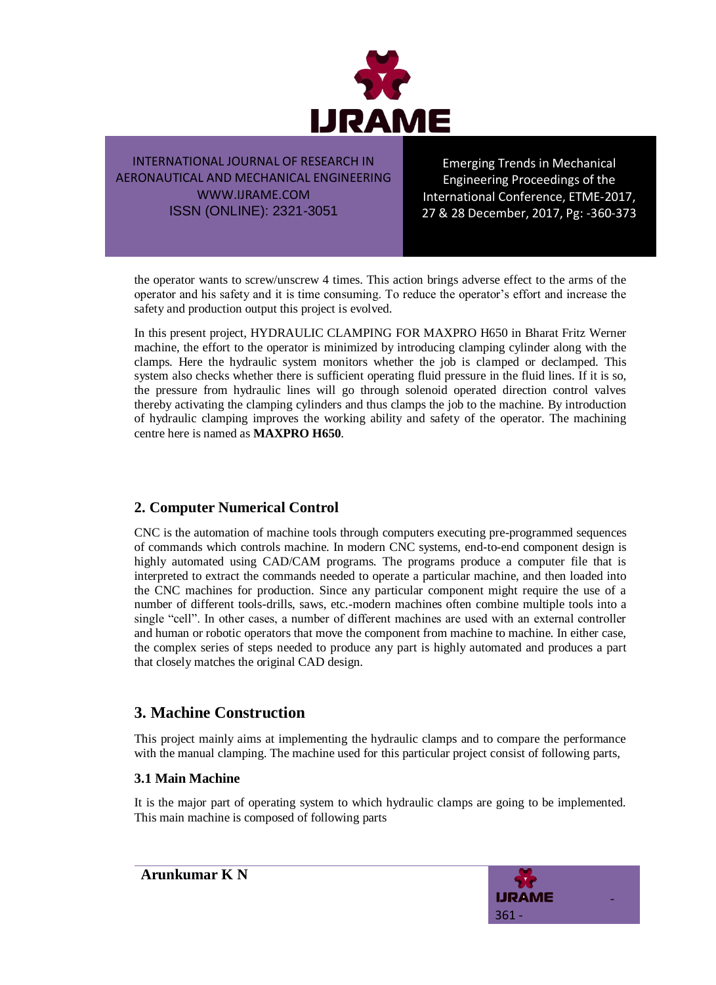

Emerging Trends in Mechanical Engineering Proceedings of the International Conference, ETME-2017, 27 & 28 December, 2017, Pg: -360-373

the operator wants to screw/unscrew 4 times. This action brings adverse effect to the arms of the operator and his safety and it is time consuming. To reduce the operator"s effort and increase the safety and production output this project is evolved.

In this present project, HYDRAULIC CLAMPING FOR MAXPRO H650 in Bharat Fritz Werner machine, the effort to the operator is minimized by introducing clamping cylinder along with the clamps. Here the hydraulic system monitors whether the job is clamped or declamped. This system also checks whether there is sufficient operating fluid pressure in the fluid lines. If it is so, the pressure from hydraulic lines will go through solenoid operated direction control valves thereby activating the clamping cylinders and thus clamps the job to the machine. By introduction of hydraulic clamping improves the working ability and safety of the operator. The machining centre here is named as **MAXPRO H650**.

### **2. Computer Numerical Control**

CNC is the automation of machine tools through computers executing pre-programmed sequences of commands which controls machine. In modern CNC systems, end-to-end component design is highly automated using CAD/CAM programs. The programs produce a computer file that is interpreted to extract the commands needed to operate a particular machine, and then loaded into the CNC machines for production. Since any particular component might require the use of a number of different tools-drills, saws, etc.-modern machines often combine multiple tools into a single "cell". In other cases, a number of different machines are used with an external controller and human or robotic operators that move the component from machine to machine. In either case, the complex series of steps needed to produce any part is highly automated and produces a part that closely matches the original CAD design.

### **3. Machine Construction**

This project mainly aims at implementing the hydraulic clamps and to compare the performance with the manual clamping. The machine used for this particular project consist of following parts,

#### **3.1 Main Machine**

It is the major part of operating system to which hydraulic clamps are going to be implemented. This main machine is composed of following parts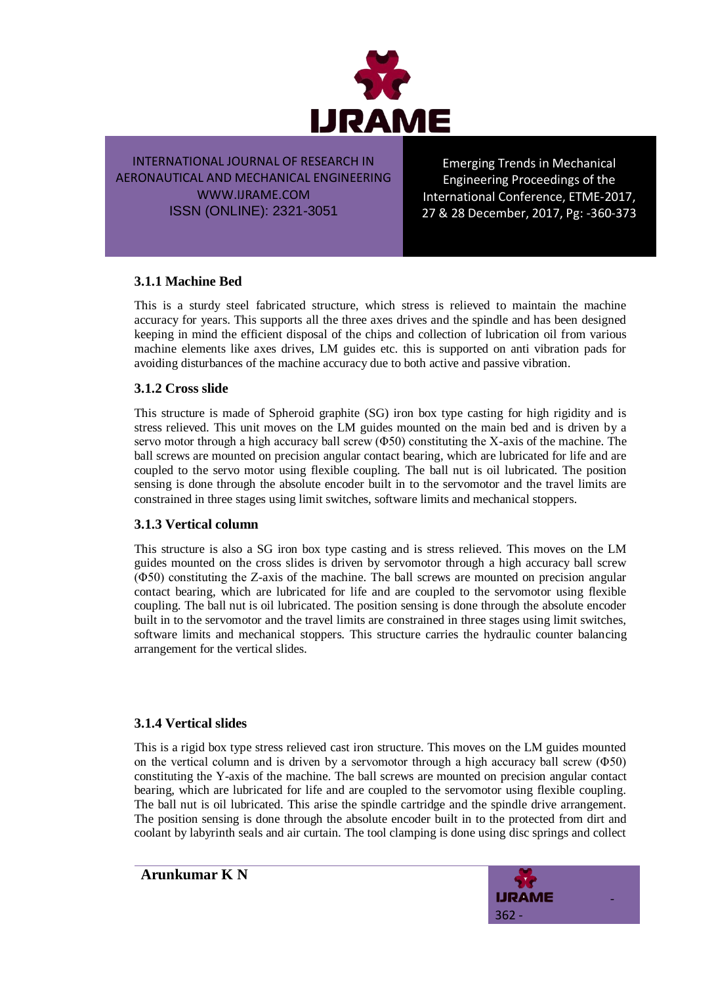

Emerging Trends in Mechanical Engineering Proceedings of the International Conference, ETME-2017, 27 & 28 December, 2017, Pg: -360-373

#### **3.1.1 Machine Bed**

This is a sturdy steel fabricated structure, which stress is relieved to maintain the machine accuracy for years. This supports all the three axes drives and the spindle and has been designed keeping in mind the efficient disposal of the chips and collection of lubrication oil from various machine elements like axes drives, LM guides etc. this is supported on anti vibration pads for avoiding disturbances of the machine accuracy due to both active and passive vibration.

#### **3.1.2 Cross slide**

This structure is made of Spheroid graphite (SG) iron box type casting for high rigidity and is stress relieved. This unit moves on the LM guides mounted on the main bed and is driven by a servo motor through a high accuracy ball screw (Φ50) constituting the X-axis of the machine. The ball screws are mounted on precision angular contact bearing, which are lubricated for life and are coupled to the servo motor using flexible coupling. The ball nut is oil lubricated. The position sensing is done through the absolute encoder built in to the servomotor and the travel limits are constrained in three stages using limit switches, software limits and mechanical stoppers.

#### **3.1.3 Vertical column**

This structure is also a SG iron box type casting and is stress relieved. This moves on the LM guides mounted on the cross slides is driven by servomotor through a high accuracy ball screw (Φ50) constituting the Z-axis of the machine. The ball screws are mounted on precision angular contact bearing, which are lubricated for life and are coupled to the servomotor using flexible coupling. The ball nut is oil lubricated. The position sensing is done through the absolute encoder built in to the servomotor and the travel limits are constrained in three stages using limit switches, software limits and mechanical stoppers. This structure carries the hydraulic counter balancing arrangement for the vertical slides.

#### **3.1.4 Vertical slides**

This is a rigid box type stress relieved cast iron structure. This moves on the LM guides mounted on the vertical column and is driven by a servomotor through a high accuracy ball screw (Φ50) constituting the Y-axis of the machine. The ball screws are mounted on precision angular contact bearing, which are lubricated for life and are coupled to the servomotor using flexible coupling. The ball nut is oil lubricated. This arise the spindle cartridge and the spindle drive arrangement. The position sensing is done through the absolute encoder built in to the protected from dirt and coolant by labyrinth seals and air curtain. The tool clamping is done using disc springs and collect

**Arunkumar K N**

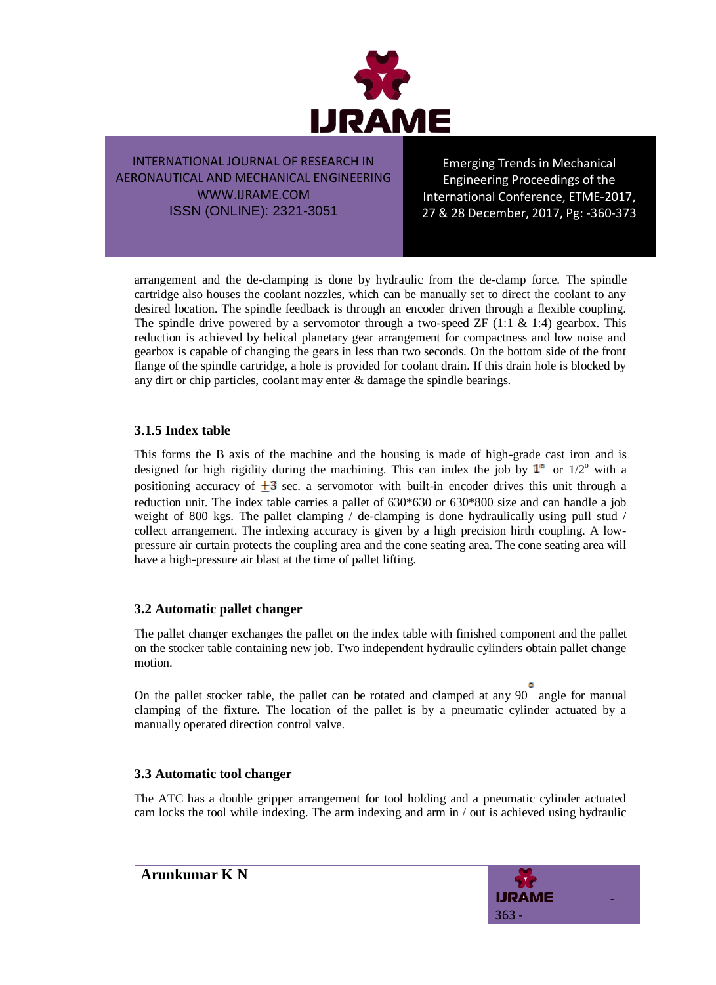

Emerging Trends in Mechanical Engineering Proceedings of the International Conference, ETME-2017, 27 & 28 December, 2017, Pg: -360-373

arrangement and the de-clamping is done by hydraulic from the de-clamp force. The spindle cartridge also houses the coolant nozzles, which can be manually set to direct the coolant to any desired location. The spindle feedback is through an encoder driven through a flexible coupling. The spindle drive powered by a servomotor through a two-speed  $ZF$  (1:1 & 1:4) gearbox. This reduction is achieved by helical planetary gear arrangement for compactness and low noise and gearbox is capable of changing the gears in less than two seconds. On the bottom side of the front flange of the spindle cartridge, a hole is provided for coolant drain. If this drain hole is blocked by any dirt or chip particles, coolant may enter & damage the spindle bearings.

### **3.1.5 Index table**

This forms the B axis of the machine and the housing is made of high-grade cast iron and is designed for high rigidity during the machining. This can index the job by  $1^{\circ}$  or  $1/2^{\circ}$  with a positioning accuracy of  $\pm 3$  sec. a servomotor with built-in encoder drives this unit through a reduction unit. The index table carries a pallet of 630\*630 or 630\*800 size and can handle a job weight of 800 kgs. The pallet clamping / de-clamping is done hydraulically using pull stud / collect arrangement. The indexing accuracy is given by a high precision hirth coupling. A lowpressure air curtain protects the coupling area and the cone seating area. The cone seating area will have a high-pressure air blast at the time of pallet lifting.

#### **3.2 Automatic pallet changer**

The pallet changer exchanges the pallet on the index table with finished component and the pallet on the stocker table containing new job. Two independent hydraulic cylinders obtain pallet change motion.

On the pallet stocker table, the pallet can be rotated and clamped at any 90 angle for manual clamping of the fixture. The location of the pallet is by a pneumatic cylinder actuated by a manually operated direction control valve.

#### **3.3 Automatic tool changer**

The ATC has a double gripper arrangement for tool holding and a pneumatic cylinder actuated cam locks the tool while indexing. The arm indexing and arm in / out is achieved using hydraulic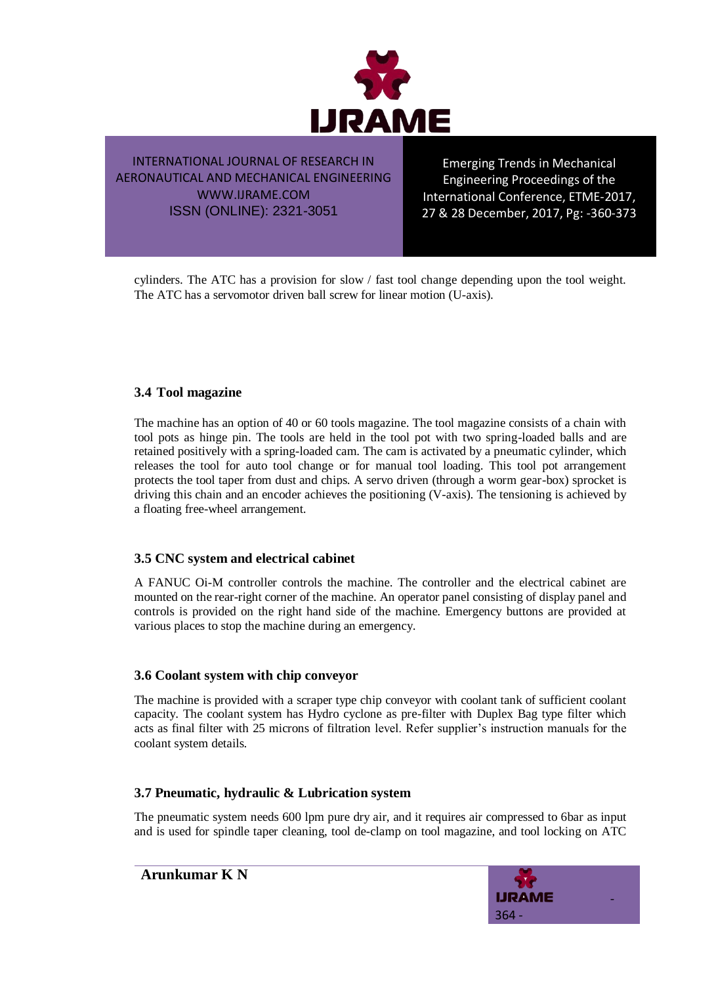

Emerging Trends in Mechanical Engineering Proceedings of the International Conference, ETME-2017, 27 & 28 December, 2017, Pg: -360-373

cylinders. The ATC has a provision for slow / fast tool change depending upon the tool weight. The ATC has a servomotor driven ball screw for linear motion (U-axis).

#### **3.4 Tool magazine**

The machine has an option of 40 or 60 tools magazine. The tool magazine consists of a chain with tool pots as hinge pin. The tools are held in the tool pot with two spring-loaded balls and are retained positively with a spring-loaded cam. The cam is activated by a pneumatic cylinder, which releases the tool for auto tool change or for manual tool loading. This tool pot arrangement protects the tool taper from dust and chips. A servo driven (through a worm gear-box) sprocket is driving this chain and an encoder achieves the positioning (V-axis). The tensioning is achieved by a floating free-wheel arrangement.

#### **3.5 CNC system and electrical cabinet**

A FANUC Oi-M controller controls the machine. The controller and the electrical cabinet are mounted on the rear-right corner of the machine. An operator panel consisting of display panel and controls is provided on the right hand side of the machine. Emergency buttons are provided at various places to stop the machine during an emergency.

#### **3.6 Coolant system with chip conveyor**

The machine is provided with a scraper type chip conveyor with coolant tank of sufficient coolant capacity. The coolant system has Hydro cyclone as pre-filter with Duplex Bag type filter which acts as final filter with 25 microns of filtration level. Refer supplier"s instruction manuals for the coolant system details.

#### **3.7 Pneumatic, hydraulic & Lubrication system**

The pneumatic system needs 600 lpm pure dry air, and it requires air compressed to 6bar as input and is used for spindle taper cleaning, tool de-clamp on tool magazine, and tool locking on ATC



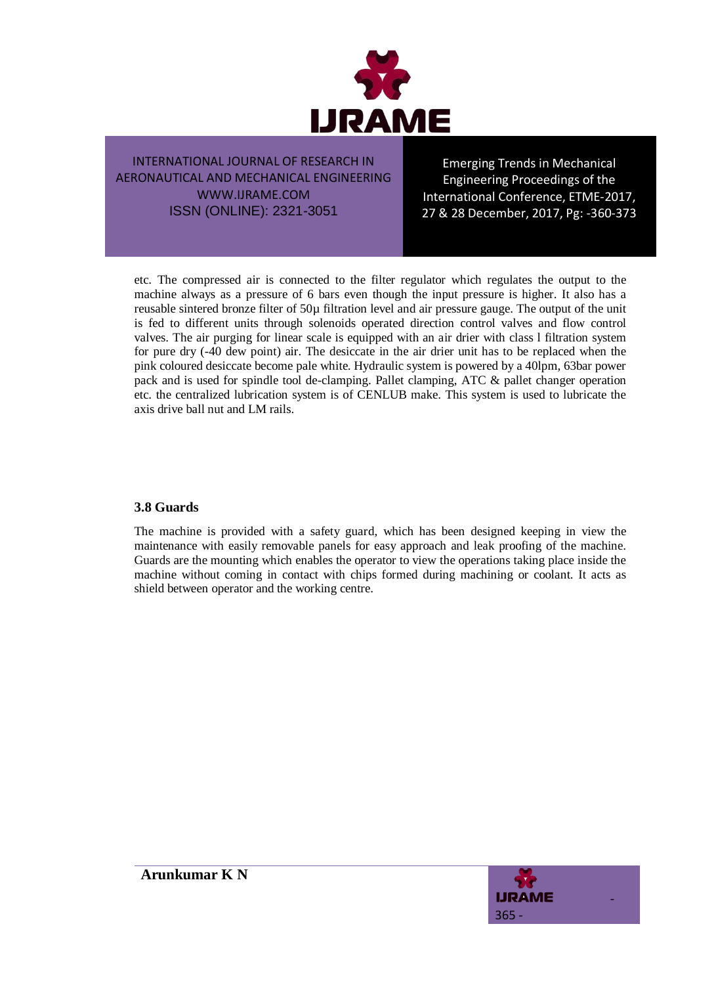

Emerging Trends in Mechanical Engineering Proceedings of the International Conference, ETME-2017, 27 & 28 December, 2017, Pg: -360-373

etc. The compressed air is connected to the filter regulator which regulates the output to the machine always as a pressure of 6 bars even though the input pressure is higher. It also has a reusable sintered bronze filter of 50µ filtration level and air pressure gauge. The output of the unit is fed to different units through solenoids operated direction control valves and flow control valves. The air purging for linear scale is equipped with an air drier with class l filtration system for pure dry (-40 dew point) air. The desiccate in the air drier unit has to be replaced when the pink coloured desiccate become pale white. Hydraulic system is powered by a 40lpm, 63bar power pack and is used for spindle tool de-clamping. Pallet clamping, ATC & pallet changer operation etc. the centralized lubrication system is of CENLUB make. This system is used to lubricate the axis drive ball nut and LM rails.

#### **3.8 Guards**

The machine is provided with a safety guard, which has been designed keeping in view the maintenance with easily removable panels for easy approach and leak proofing of the machine. Guards are the mounting which enables the operator to view the operations taking place inside the machine without coming in contact with chips formed during machining or coolant. It acts as shield between operator and the working centre.

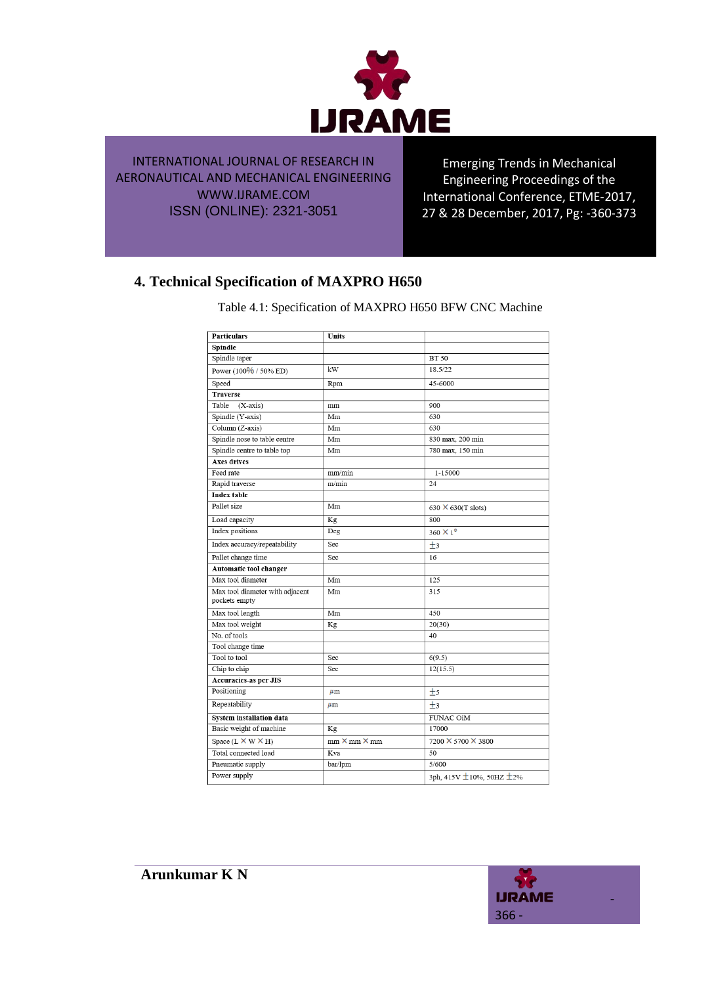

Emerging Trends in Mechanical Engineering Proceedings of the International Conference, ETME-2017, 27 & 28 December, 2017, Pg: -360-373

-

366 -

**URAME** 

# **4. Technical Specification of MAXPRO H650**

| <b>Particulars</b>                               | <b>Units</b>             |                                    |
|--------------------------------------------------|--------------------------|------------------------------------|
| Spindle                                          |                          |                                    |
| Spindle taper                                    |                          | <b>BT 50</b>                       |
| Power (100% / 50% ED)                            | kW                       | 18.5/22                            |
| Speed                                            | Rpm                      | 45-6000                            |
| <b>Traverse</b>                                  |                          |                                    |
| Table<br>$(X-axis)$                              | mm                       | 900                                |
| Spindle (Y-axis)                                 | Mm                       | 630                                |
| Column (Z-axis)                                  | Mm                       | 630                                |
| Spindle nose to table centre                     | Mm                       | 830 max, 200 min                   |
| Spindle centre to table top                      | Mm                       | 780 max, 150 min                   |
| <b>Axes drives</b>                               |                          |                                    |
| Feed rate                                        | mm/min                   | 1-15000                            |
| Rapid traverse                                   | m/min                    | 24                                 |
| <b>Index table</b>                               |                          |                                    |
| Pallet size                                      | Mm                       | 630 $\times$ 630(T slots)          |
| Load capacity                                    | Κg                       | 800                                |
| <b>Index positions</b>                           | Deg                      | $360 \times 1^{\circ}$             |
| Index accuracy/repeatability                     | Sec                      | ±3                                 |
| Pallet change time                               | Sec                      | 16                                 |
| <b>Automatic tool changer</b>                    |                          |                                    |
| Max tool diameter                                | Mm                       | 125                                |
| Max tool diameter with adjacent<br>pockets empty | Mm                       | 315                                |
| Max tool length                                  | Mm                       | 450                                |
| Max tool weight                                  | Kg                       | 20(30)                             |
| No. of tools                                     |                          | 40                                 |
| Tool change time                                 |                          |                                    |
| Tool to tool                                     | Sec                      | 6(9.5)                             |
| Chip to chip                                     | Sec                      | 12(15.5)                           |
| Accuracies-as per JIS                            |                          |                                    |
| Positioning                                      | $\mu$ m                  | ±5                                 |
| Repeatability                                    | $\mu$ m                  | $\pm$ 3                            |
| System installation data                         |                          | <b>FUNAC OIM</b>                   |
| Basic weight of machine                          | Κg                       | 17000                              |
| Space $(L \times W \times H)$                    | $mm \times mm \times mm$ | 7200 X 5700 X 3800                 |
| Total connected load                             | Kva                      | 50                                 |
| Pneumatic supply                                 | bar/lpm                  | 5/600                              |
| Power supply                                     |                          | 3ph, 415V $\pm$ 10%, 50HZ $\pm$ 2% |

Table 4.1: Specification of MAXPRO H650 BFW CNC Machine

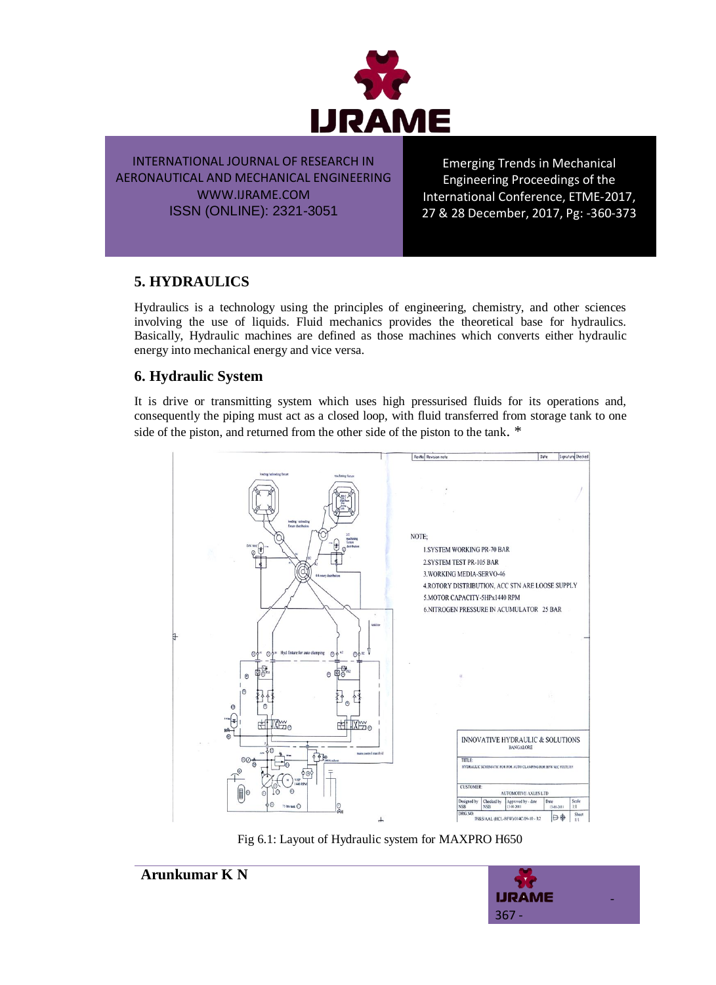

Emerging Trends in Mechanical Engineering Proceedings of the International Conference, ETME-2017, 27 & 28 December, 2017, Pg: -360-373

### **5. HYDRAULICS**

Hydraulics is a technology using the principles of engineering, chemistry, and other sciences involving the use of liquids. Fluid mechanics provides the theoretical base for hydraulics. Basically, Hydraulic machines are defined as those machines which converts either hydraulic energy into mechanical energy and vice versa.

### **6. Hydraulic System**

It is drive or transmitting system which uses high pressurised fluids for its operations and, consequently the piping must act as a closed loop, with fluid transferred from storage tank to one side of the piston, and returned from the other side of the piston to the tank. \*



Fig 6.1: Layout of Hydraulic system for MAXPRO H650



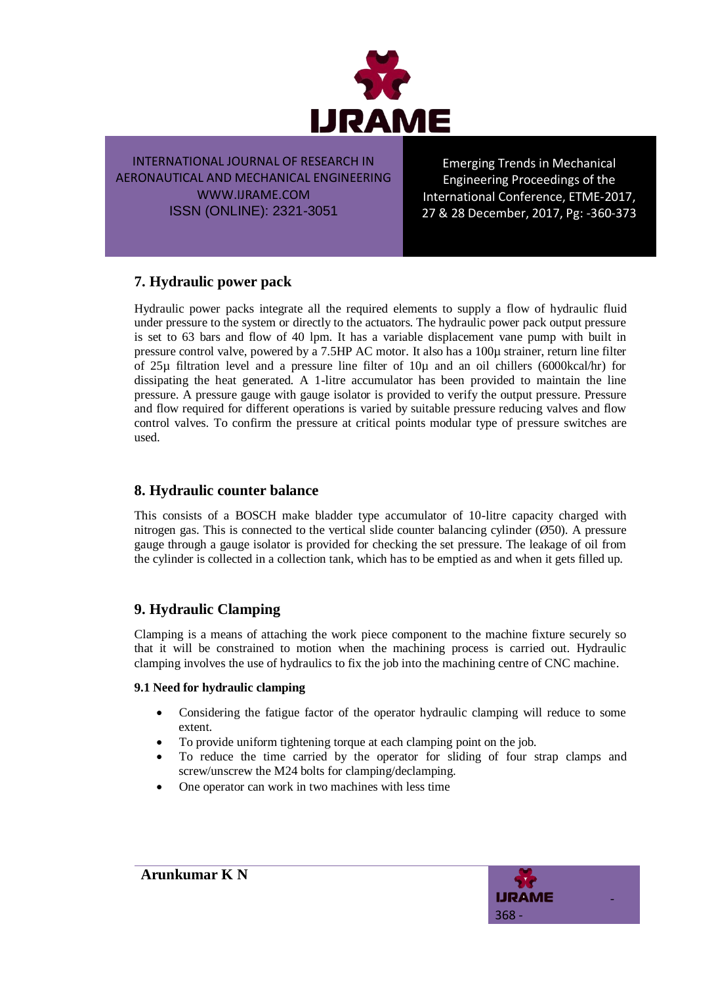

Emerging Trends in Mechanical Engineering Proceedings of the International Conference, ETME-2017, 27 & 28 December, 2017, Pg: -360-373

### **7. Hydraulic power pack**

Hydraulic power packs integrate all the required elements to supply a flow of hydraulic fluid under pressure to the system or directly to the actuators. The hydraulic power pack output pressure is set to 63 bars and flow of 40 lpm. It has a variable displacement vane pump with built in pressure control valve, powered by a 7.5HP AC motor. It also has a 100µ strainer, return line filter of 25µ filtration level and a pressure line filter of  $10\mu$  and an oil chillers (6000kcal/hr) for dissipating the heat generated. A 1-litre accumulator has been provided to maintain the line pressure. A pressure gauge with gauge isolator is provided to verify the output pressure. Pressure and flow required for different operations is varied by suitable pressure reducing valves and flow control valves. To confirm the pressure at critical points modular type of pressure switches are used.

### **8. Hydraulic counter balance**

This consists of a BOSCH make bladder type accumulator of 10-litre capacity charged with nitrogen gas. This is connected to the vertical slide counter balancing cylinder (Ø50). A pressure gauge through a gauge isolator is provided for checking the set pressure. The leakage of oil from the cylinder is collected in a collection tank, which has to be emptied as and when it gets filled up.

### **9. Hydraulic Clamping**

Clamping is a means of attaching the work piece component to the machine fixture securely so that it will be constrained to motion when the machining process is carried out. Hydraulic clamping involves the use of hydraulics to fix the job into the machining centre of CNC machine.

#### **9.1 Need for hydraulic clamping**

- Considering the fatigue factor of the operator hydraulic clamping will reduce to some extent.
- To provide uniform tightening torque at each clamping point on the job.
- To reduce the time carried by the operator for sliding of four strap clamps and screw/unscrew the M24 bolts for clamping/declamping.
- One operator can work in two machines with less time

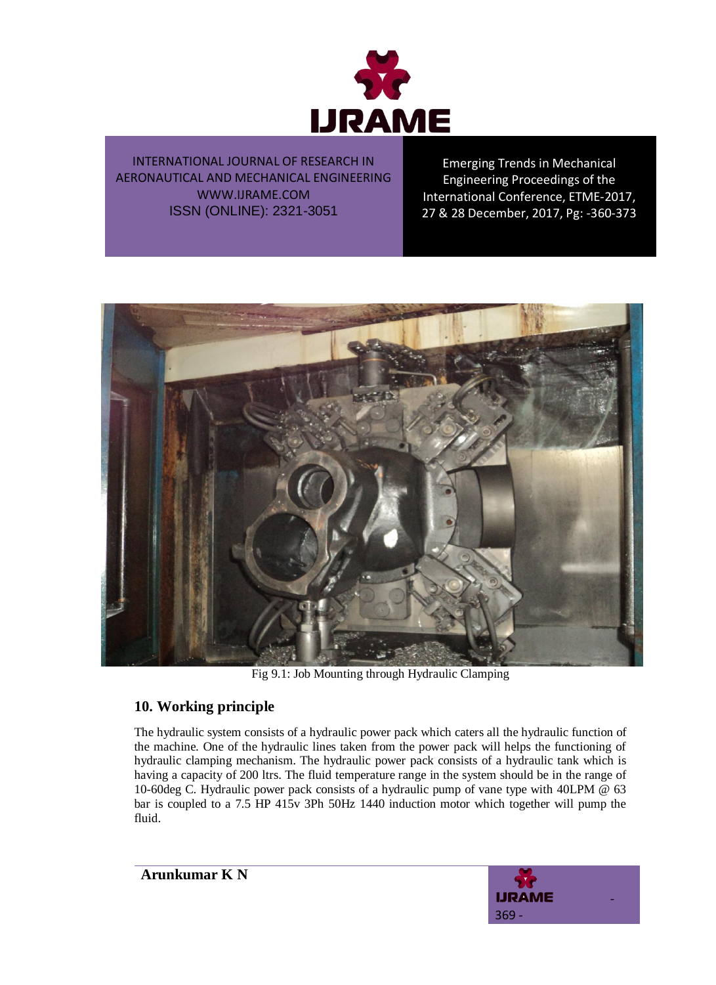

Emerging Trends in Mechanical Engineering Proceedings of the International Conference, ETME-2017, 27 & 28 December, 2017, Pg: -360-373



Fig 9.1: Job Mounting through Hydraulic Clamping

### **10. Working principle**

The hydraulic system consists of a hydraulic power pack which caters all the hydraulic function of the machine. One of the hydraulic lines taken from the power pack will helps the functioning of hydraulic clamping mechanism. The hydraulic power pack consists of a hydraulic tank which is having a capacity of 200 ltrs. The fluid temperature range in the system should be in the range of 10-60deg C. Hydraulic power pack consists of a hydraulic pump of vane type with 40LPM @ 63 bar is coupled to a 7.5 HP 415v 3Ph 50Hz 1440 induction motor which together will pump the fluid.



**Arunkumar K N**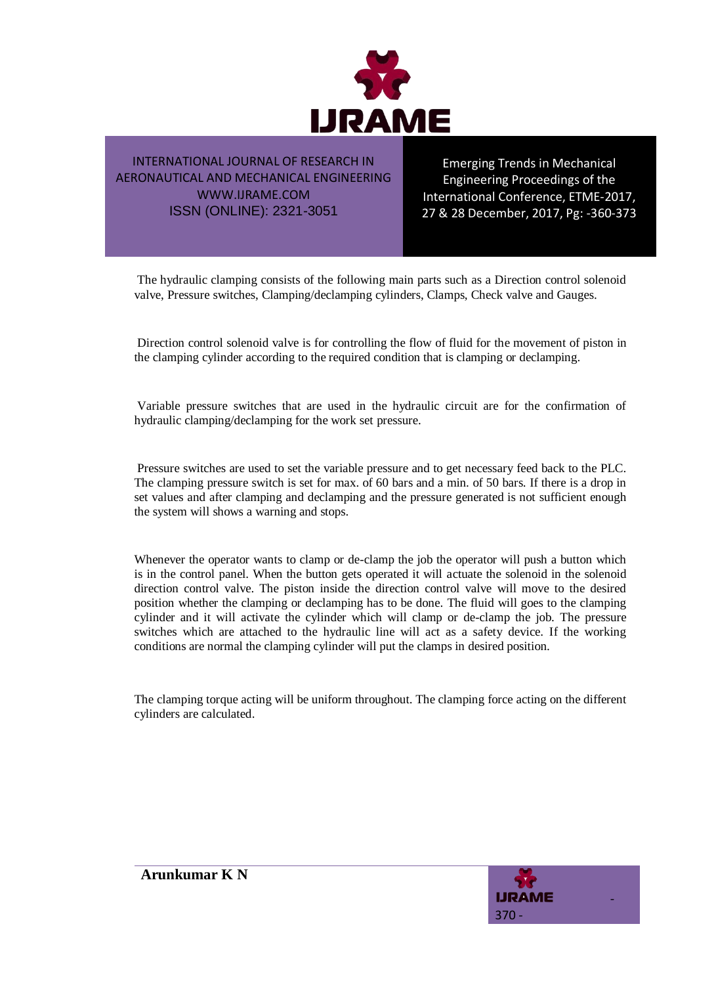

Emerging Trends in Mechanical Engineering Proceedings of the International Conference, ETME-2017, 27 & 28 December, 2017, Pg: -360-373

The hydraulic clamping consists of the following main parts such as a Direction control solenoid valve, Pressure switches, Clamping/declamping cylinders, Clamps, Check valve and Gauges.

Direction control solenoid valve is for controlling the flow of fluid for the movement of piston in the clamping cylinder according to the required condition that is clamping or declamping.

Variable pressure switches that are used in the hydraulic circuit are for the confirmation of hydraulic clamping/declamping for the work set pressure.

Pressure switches are used to set the variable pressure and to get necessary feed back to the PLC. The clamping pressure switch is set for max. of 60 bars and a min. of 50 bars. If there is a drop in set values and after clamping and declamping and the pressure generated is not sufficient enough the system will shows a warning and stops.

Whenever the operator wants to clamp or de-clamp the job the operator will push a button which is in the control panel. When the button gets operated it will actuate the solenoid in the solenoid direction control valve. The piston inside the direction control valve will move to the desired position whether the clamping or declamping has to be done. The fluid will goes to the clamping cylinder and it will activate the cylinder which will clamp or de-clamp the job. The pressure switches which are attached to the hydraulic line will act as a safety device. If the working conditions are normal the clamping cylinder will put the clamps in desired position.

The clamping torque acting will be uniform throughout. The clamping force acting on the different cylinders are calculated.

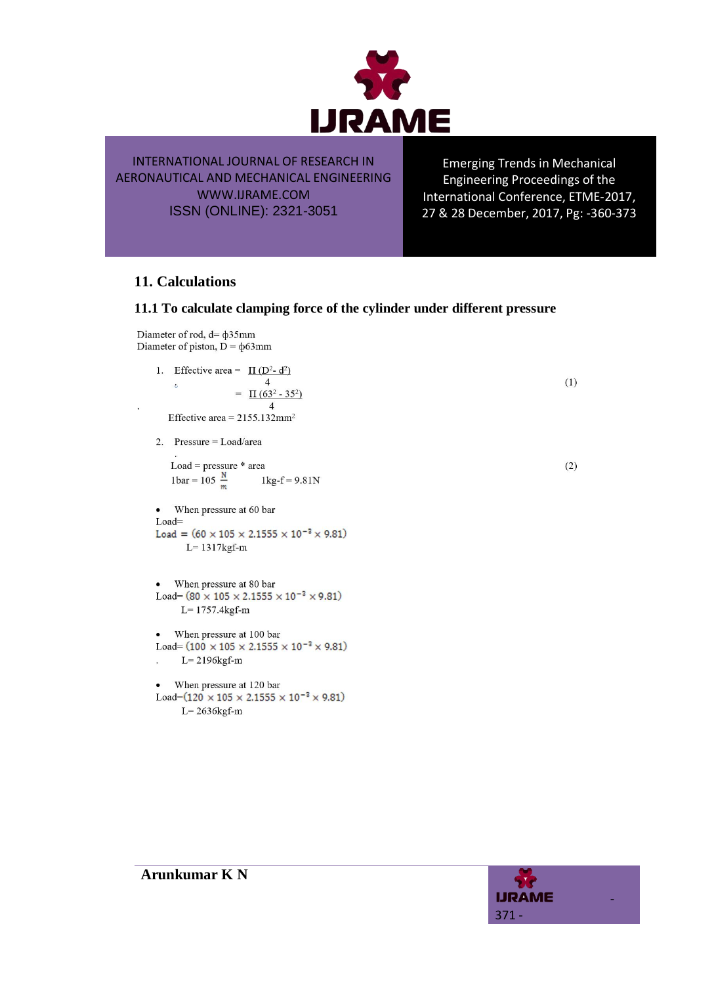

Emerging Trends in Mechanical Engineering Proceedings of the International Conference, ETME-2017, 27 & 28 December, 2017, Pg: -360-373

### **11. Calculations**

#### **11.1 To calculate clamping force of the cylinder under different pressure**

Diameter of rod, d= \$35mm Diameter of piston,  $D = \phi$ 63mm

- 1. Effective area =  $\Pi$  (D<sup>2</sup>- d<sup>2</sup>)  $\overline{4}$  $\ddot{\cdot}$  $= \Pi (63^2 - 35^2)$  $\overline{4}$ Effective area =  $2155.132$ mm<sup>2</sup>
- 2. Pressure = Load/area

Load = pressure  $*$  area 1bar = 105  $\frac{N}{m}$  $1kg-f = 9.81N$ 

```
• When pressure at 60 bar
Load=
Load = (60 \times 105 \times 2.1555 \times 10^{-3} \times 9.81)L = 1317kgf-m
```
• When pressure at 80 bar  $\text{Load=}\left(80\times105\times2.1555\times10^{-3}\times9.81\right)$ L= 1757.4kgf-m

• When pressure at 100 bar Load=  $(100 \times 105 \times 2.1555 \times 10^{-2} \times 9.81)$  $L = 2196$  kg f-m

• When pressure at 120 bar  $\text{Load} \text{=}\left(120 \times 105 \times 2.1555 \times 10^{-3} \times 9.81\right)$  $L = 2636$ kgf-m

 $(1)$ 

 $(2)$ 

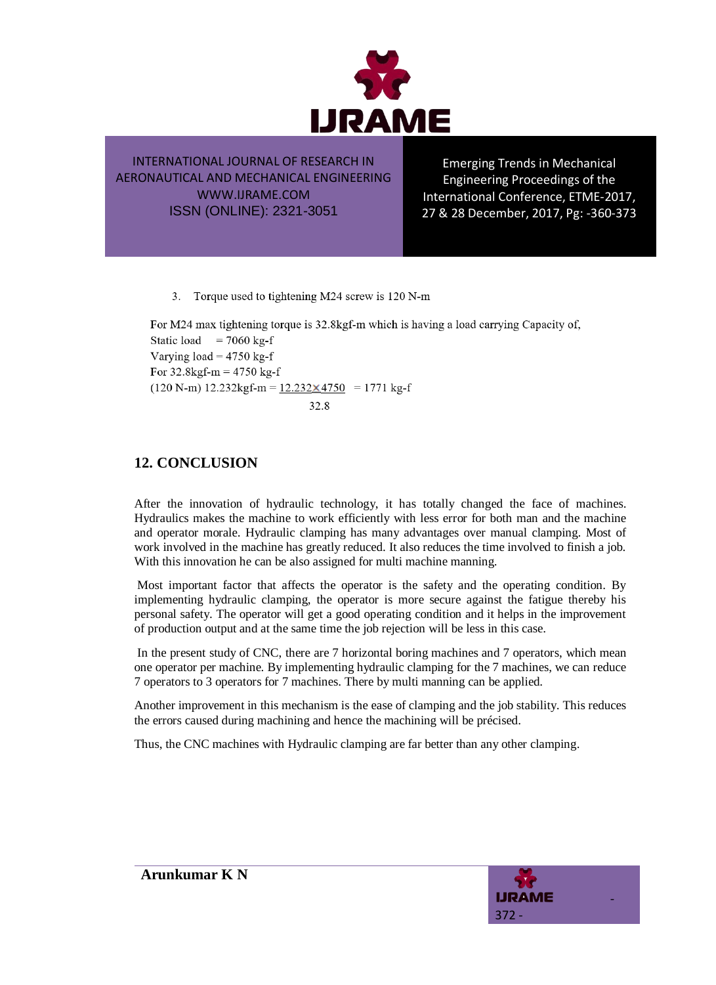

Emerging Trends in Mechanical Engineering Proceedings of the International Conference, ETME-2017, 27 & 28 December, 2017, Pg: -360-373

3. Torque used to tightening M24 screw is 120 N-m

For M24 max tightening torque is 32.8kgf-m which is having a load carrying Capacity of, Static load =  $7060 \text{ kg-f}$ Varying  $load = 4750$  kg-f For  $32.8$ kgf-m =  $4750$  kg-f  $(120 N-m) 12.232 kgf-m = 12.232 \times 4750$  = 1771 kg-f 32.8

## **12. CONCLUSION**

After the innovation of hydraulic technology, it has totally changed the face of machines. Hydraulics makes the machine to work efficiently with less error for both man and the machine and operator morale. Hydraulic clamping has many advantages over manual clamping. Most of work involved in the machine has greatly reduced. It also reduces the time involved to finish a job. With this innovation he can be also assigned for multi machine manning.

Most important factor that affects the operator is the safety and the operating condition. By implementing hydraulic clamping, the operator is more secure against the fatigue thereby his personal safety. The operator will get a good operating condition and it helps in the improvement of production output and at the same time the job rejection will be less in this case.

In the present study of CNC, there are 7 horizontal boring machines and 7 operators, which mean one operator per machine. By implementing hydraulic clamping for the 7 machines, we can reduce 7 operators to 3 operators for 7 machines. There by multi manning can be applied.

Another improvement in this mechanism is the ease of clamping and the job stability. This reduces the errors caused during machining and hence the machining will be précised.

Thus, the CNC machines with Hydraulic clamping are far better than any other clamping.